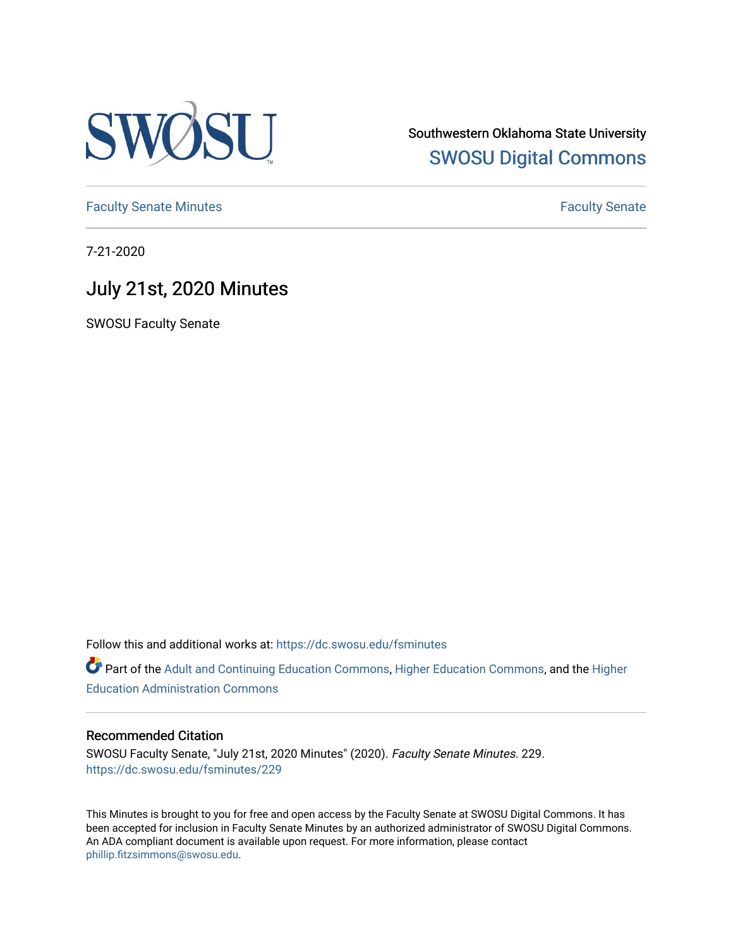

Southwestern Oklahoma State University [SWOSU Digital Commons](https://dc.swosu.edu/) 

[Faculty Senate Minutes](https://dc.swosu.edu/fsminutes) **Faculty** Senate Minutes

7-21-2020

## July 21st, 2020 Minutes

SWOSU Faculty Senate

Follow this and additional works at: [https://dc.swosu.edu/fsminutes](https://dc.swosu.edu/fsminutes?utm_source=dc.swosu.edu%2Ffsminutes%2F229&utm_medium=PDF&utm_campaign=PDFCoverPages) 

Part of the [Adult and Continuing Education Commons,](http://network.bepress.com/hgg/discipline/1375?utm_source=dc.swosu.edu%2Ffsminutes%2F229&utm_medium=PDF&utm_campaign=PDFCoverPages) [Higher Education Commons,](http://network.bepress.com/hgg/discipline/1245?utm_source=dc.swosu.edu%2Ffsminutes%2F229&utm_medium=PDF&utm_campaign=PDFCoverPages) and the [Higher](http://network.bepress.com/hgg/discipline/791?utm_source=dc.swosu.edu%2Ffsminutes%2F229&utm_medium=PDF&utm_campaign=PDFCoverPages) [Education Administration Commons](http://network.bepress.com/hgg/discipline/791?utm_source=dc.swosu.edu%2Ffsminutes%2F229&utm_medium=PDF&utm_campaign=PDFCoverPages) 

#### Recommended Citation

SWOSU Faculty Senate, "July 21st, 2020 Minutes" (2020). Faculty Senate Minutes. 229. [https://dc.swosu.edu/fsminutes/229](https://dc.swosu.edu/fsminutes/229?utm_source=dc.swosu.edu%2Ffsminutes%2F229&utm_medium=PDF&utm_campaign=PDFCoverPages) 

This Minutes is brought to you for free and open access by the Faculty Senate at SWOSU Digital Commons. It has been accepted for inclusion in Faculty Senate Minutes by an authorized administrator of SWOSU Digital Commons. An ADA compliant document is available upon request. For more information, please contact [phillip.fitzsimmons@swosu.edu](mailto:phillip.fitzsimmons@swosu.edu).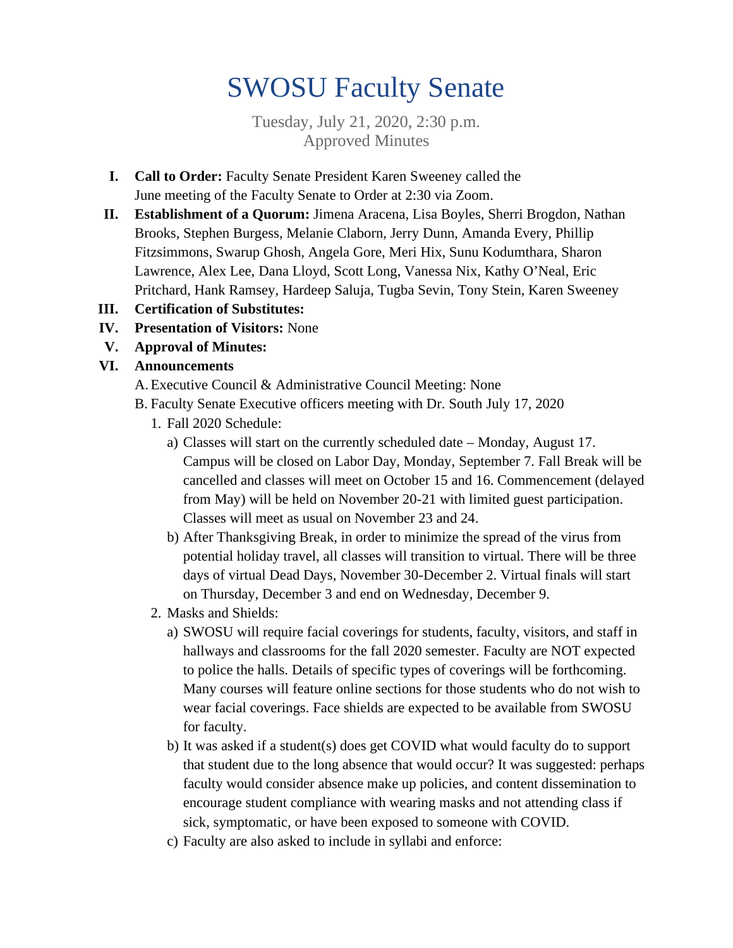# SWOSU Faculty Senate

Tuesday, July 21, 2020, 2:30 p.m. Approved Minutes

- **I. Call to Order:** Faculty Senate President Karen Sweeney called the June meeting of the Faculty Senate to Order at 2:30 via Zoom.
- **II. Establishment of a Quorum:** Jimena Aracena, Lisa Boyles, Sherri Brogdon, Nathan Brooks, Stephen Burgess, Melanie Claborn, Jerry Dunn, Amanda Every, Phillip Fitzsimmons, Swarup Ghosh, Angela Gore, Meri Hix, Sunu Kodumthara, Sharon Lawrence, Alex Lee, Dana Lloyd, Scott Long, Vanessa Nix, Kathy O'Neal, Eric Pritchard, Hank Ramsey, Hardeep Saluja, Tugba Sevin, Tony Stein, Karen Sweeney
- **III. Certification of Substitutes:**
- **IV. Presentation of Visitors:** None
- **V. Approval of Minutes:**
- **VI. Announcements**
	- A.Executive Council & Administrative Council Meeting: None
	- B. Faculty Senate Executive officers meeting with Dr. South July 17, 2020
		- 1. Fall 2020 Schedule:
			- a) Classes will start on the currently scheduled date Monday, August 17. Campus will be closed on Labor Day, Monday, September 7. Fall Break will be cancelled and classes will meet on October 15 and 16. Commencement (delayed from May) will be held on November 20-21 with limited guest participation. Classes will meet as usual on November 23 and 24.
			- b) After Thanksgiving Break, in order to minimize the spread of the virus from potential holiday travel, all classes will transition to virtual. There will be three days of virtual Dead Days, November 30-December 2. Virtual finals will start on Thursday, December 3 and end on Wednesday, December 9.
		- 2. Masks and Shields:
			- a) SWOSU will require facial coverings for students, faculty, visitors, and staff in hallways and classrooms for the fall 2020 semester. Faculty are NOT expected to police the halls. Details of specific types of coverings will be forthcoming. Many courses will feature online sections for those students who do not wish to wear facial coverings. Face shields are expected to be available from SWOSU for faculty.
			- b) It was asked if a student(s) does get COVID what would faculty do to support that student due to the long absence that would occur? It was suggested: perhaps faculty would consider absence make up policies, and content dissemination to encourage student compliance with wearing masks and not attending class if sick, symptomatic, or have been exposed to someone with COVID.
			- c) Faculty are also asked to include in syllabi and enforce: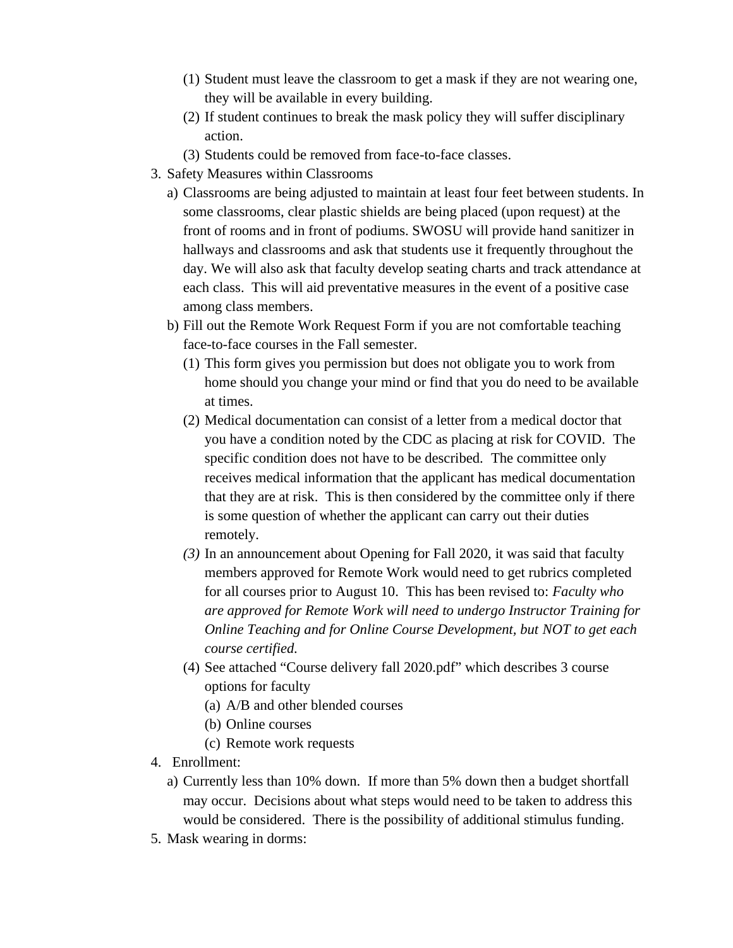- (1) Student must leave the classroom to get a mask if they are not wearing one, they will be available in every building.
- (2) If student continues to break the mask policy they will suffer disciplinary action.
- (3) Students could be removed from face-to-face classes.
- 3. Safety Measures within Classrooms
	- a) Classrooms are being adjusted to maintain at least four feet between students. In some classrooms, clear plastic shields are being placed (upon request) at the front of rooms and in front of podiums. SWOSU will provide hand sanitizer in hallways and classrooms and ask that students use it frequently throughout the day. We will also ask that faculty develop seating charts and track attendance at each class. This will aid preventative measures in the event of a positive case among class members.
	- b) Fill out the Remote Work Request Form if you are not comfortable teaching face-to-face courses in the Fall semester.
		- (1) This form gives you permission but does not obligate you to work from home should you change your mind or find that you do need to be available at times.
		- (2) Medical documentation can consist of a letter from a medical doctor that you have a condition noted by the CDC as placing at risk for COVID. The specific condition does not have to be described. The committee only receives medical information that the applicant has medical documentation that they are at risk. This is then considered by the committee only if there is some question of whether the applicant can carry out their duties remotely.
		- *(3)* In an announcement about Opening for Fall 2020, it was said that faculty members approved for Remote Work would need to get rubrics completed for all courses prior to August 10. This has been revised to: *Faculty who are approved for Remote Work will need to undergo Instructor Training for Online Teaching and for Online Course Development, but NOT to get each course certified.*
		- (4) See attached "Course delivery fall 2020.pdf" which describes 3 course options for faculty
			- (a) A/B and other blended courses
			- (b) Online courses
			- (c) Remote work requests
- 4. Enrollment:
	- a) Currently less than 10% down. If more than 5% down then a budget shortfall may occur. Decisions about what steps would need to be taken to address this would be considered. There is the possibility of additional stimulus funding.
- 5. Mask wearing in dorms: